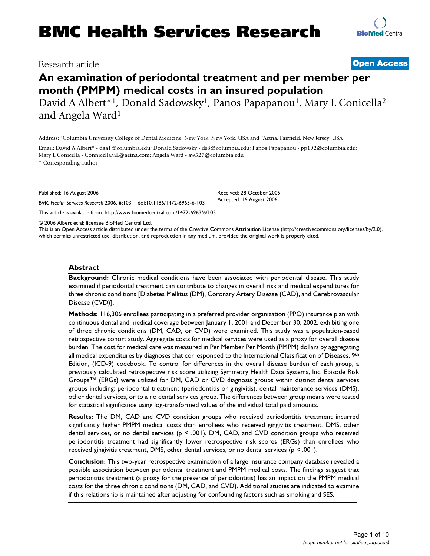# **BMC Health Services Research**

# **An examination of periodontal treatment and per member per month (PMPM) medical costs in an insured population**

David A Albert<sup>\*1</sup>, Donald Sadowsky<sup>1</sup>, Panos Papapanou<sup>1</sup>, Mary L Conicella<sup>2</sup> and Angela Ward1

Address: 1Columbia University College of Dental Medicine, New York, New York, USA and 2Aetna, Fairfield, New Jersey, USA

Email: David A Albert\* - daa1@columbia.edu; Donald Sadowsky - ds8@columbia.edu; Panos Papapanou - pp192@columbia.edu; Mary L Conicella - ConnicellaML@aetna.com; Angela Ward - aw527@columbia.edu

\* Corresponding author

Published: 16 August 2006

*BMC Health Services Research* 2006, **6**:103 doi:10.1186/1472-6963-6-103

[This article is available from: http://www.biomedcentral.com/1472-6963/6/103](http://www.biomedcentral.com/1472-6963/6/103)

© 2006 Albert et al; licensee BioMed Central Ltd.

This is an Open Access article distributed under the terms of the Creative Commons Attribution License [\(http://creativecommons.org/licenses/by/2.0\)](http://creativecommons.org/licenses/by/2.0), which permits unrestricted use, distribution, and reproduction in any medium, provided the original work is properly cited.

#### **Abstract**

**Background:** Chronic medical conditions have been associated with periodontal disease. This study examined if periodontal treatment can contribute to changes in overall risk and medical expenditures for three chronic conditions [Diabetes Mellitus (DM), Coronary Artery Disease (CAD), and Cerebrovascular Disease (CVD)].

**Methods:** 116,306 enrollees participating in a preferred provider organization (PPO) insurance plan with continuous dental and medical coverage between January 1, 2001 and December 30, 2002, exhibiting one of three chronic conditions (DM, CAD, or CVD) were examined. This study was a population-based retrospective cohort study. Aggregate costs for medical services were used as a proxy for overall disease burden. The cost for medical care was measured in Per Member Per Month (PMPM) dollars by aggregating all medical expenditures by diagnoses that corresponded to the International Classification of Diseases,  $9<sup>th</sup>$ Edition, (ICD-9) codebook. To control for differences in the overall disease burden of each group, a previously calculated retrospective risk score utilizing Symmetry Health Data Systems, Inc. Episode Risk Groups™ (ERGs) were utilized for DM, CAD or CVD diagnosis groups within distinct dental services groups including; periodontal treatment (periodontitis or gingivitis), dental maintenance services (DMS), other dental services, or to a no dental services group. The differences between group means were tested for statistical significance using log-transformed values of the individual total paid amounts.

**Results:** The DM, CAD and CVD condition groups who received periodontitis treatment incurred significantly higher PMPM medical costs than enrollees who received gingivitis treatment, DMS, other dental services, or no dental services ( $p < .001$ ). DM, CAD, and CVD condition groups who received periodontitis treatment had significantly lower retrospective risk scores (ERGs) than enrollees who received gingivitis treatment, DMS, other dental services, or no dental services (p < .001).

**Conclusion:** This two-year retrospective examination of a large insurance company database revealed a possible association between periodontal treatment and PMPM medical costs. The findings suggest that periodontitis treatment (a proxy for the presence of periodontitis) has an impact on the PMPM medical costs for the three chronic conditions (DM, CAD, and CVD). Additional studies are indicated to examine if this relationship is maintained after adjusting for confounding factors such as smoking and SES.



## Research article **[Open Access](http://www.biomedcentral.com/info/about/charter/)**

Received: 28 October 2005 Accepted: 16 August 2006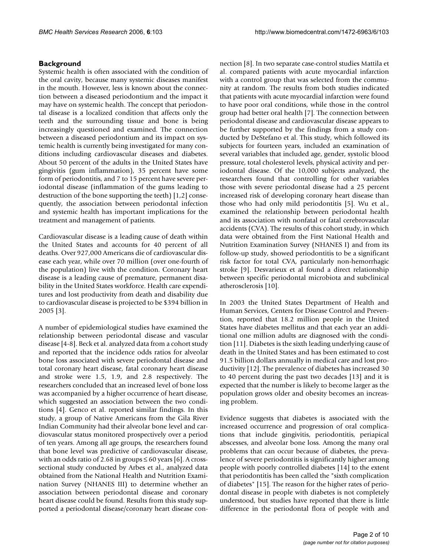#### **Background**

Systemic health is often associated with the condition of the oral cavity, because many systemic diseases manifest in the mouth. However, less is known about the connection between a diseased periodontium and the impact it may have on systemic health. The concept that periodontal disease is a localized condition that affects only the teeth and the surrounding tissue and bone is being increasingly questioned and examined. The connection between a diseased periodontium and its impact on systemic health is currently being investigated for many conditions including cardiovascular diseases and diabetes. About 50 percent of the adults in the United States have gingivitis (gum inflammation), 35 percent have some form of periodontitis, and 7 to 15 percent have severe periodontal disease (inflammation of the gums leading to destruction of the bone supporting the teeth) [1,2] consequently, the association between periodontal infection and systemic health has important implications for the treatment and management of patients.

Cardiovascular disease is a leading cause of death within the United States and accounts for 40 percent of all deaths. Over 927,000 Americans die of cardiovascular disease each year, while over 70 million (over one-fourth of the population) live with the condition. Coronary heart disease is a leading cause of premature, permanent disability in the United States workforce. Health care expenditures and lost productivity from death and disability due to cardiovascular disease is projected to be \$394 billion in 2005 [3].

A number of epidemiological studies have examined the relationship between periodontal disease and vascular disease [4-8]. Beck et al. analyzed data from a cohort study and reported that the incidence odds ratios for alveolar bone loss associated with severe periodontal disease and total coronary heart disease, fatal coronary heart disease and stroke were 1.5, 1.9, and 2.8 respectively. The researchers concluded that an increased level of bone loss was accompanied by a higher occurrence of heart disease, which suggested an association between the two conditions [4]. Genco et al. reported similar findings. In this study, a group of Native Americans from the Gila River Indian Community had their alveolar bone level and cardiovascular status monitored prospectively over a period of ten years. Among all age groups, the researchers found that bone level was predictive of cardiovascular disease, with an odds ratio of 2.68 in groups  $\leq 60$  years [6]. A crosssectional study conducted by Arbes et al., analyzed data obtained from the National Health and Nutrition Examination Survey (NHANES III) to determine whether an association between periodontal disease and coronary heart disease could be found. Results from this study supported a periodontal disease/coronary heart disease connection [8]. In two separate case-control studies Mattila et al. compared patients with acute myocardial infarction with a control group that was selected from the community at random. The results from both studies indicated that patients with acute myocardial infarction were found to have poor oral conditions, while those in the control group had better oral health [7]. The connection between periodontal disease and cardiovascular disease appears to be further supported by the findings from a study conducted by DeStefano et al. This study, which followed its subjects for fourteen years, included an examination of several variables that included age, gender, systolic blood pressure, total cholesterol levels, physical activity and periodontal disease. Of the 10,000 subjects analyzed, the researchers found that controlling for other variables those with severe periodontal disease had a 25 percent increased risk of developing coronary heart disease than those who had only mild periodontitis [5]. Wu et al., examined the relationship between periodontal health and its association with nonfatal or fatal cerebrovascular accidents (CVA). The results of this cohort study, in which data were obtained from the First National Health and Nutrition Examination Survey (NHANES I) and from its follow-up study, showed periodontitis to be a significant risk factor for total CVA, particularly non-hemorrhagic stroke [9]. Desvarieux et al found a direct relationship between specific periodontal microbiota and subclinical atherosclerosis [10].

In 2003 the United States Department of Health and Human Services, Centers for Disease Control and Prevention, reported that 18.2 million people in the United States have diabetes mellitus and that each year an additional one million adults are diagnosed with the condition [11]. Diabetes is the sixth leading underlying cause of death in the United States and has been estimated to cost 91.5 billion dollars annually in medical care and lost productivity [12]. The prevalence of diabetes has increased 30 to 40 percent during the past two decades [13] and it is expected that the number is likely to become larger as the population grows older and obesity becomes an increasing problem.

Evidence suggests that diabetes is associated with the increased occurrence and progression of oral complications that include gingivitis, periodontitis, periapical abscesses, and alveolar bone loss. Among the many oral problems that can occur because of diabetes, the prevalence of severe periodontitis is significantly higher among people with poorly controlled diabetes [14] to the extent that periodontitis has been called the "sixth complication of diabetes" [15]. The reason for the higher rates of periodontal disease in people with diabetes is not completely understood, but studies have reported that there is little difference in the periodontal flora of people with and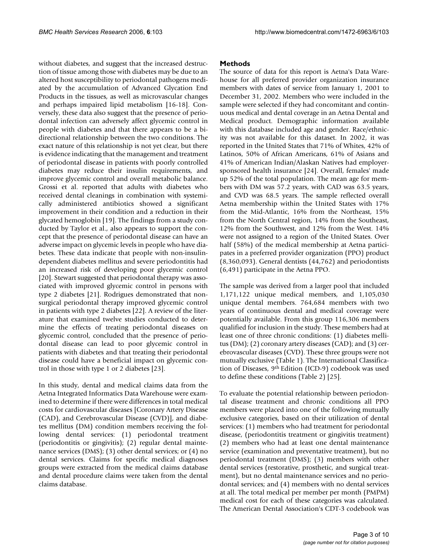without diabetes, and suggest that the increased destruction of tissue among those with diabetes may be due to an altered host susceptibility to periodontal pathogens mediated by the accumulation of Advanced Glycation End Products in the tissues, as well as microvascular changes and perhaps impaired lipid metabolism [16-18]. Conversely, these data also suggest that the presence of periodontal infection can adversely affect glycemic control in people with diabetes and that there appears to be a bidirectional relationship between the two conditions. The exact nature of this relationship is not yet clear, but there is evidence indicating that the management and treatment of periodontal disease in patients with poorly controlled diabetes may reduce their insulin requirements, and improve glycemic control and overall metabolic balance. Grossi et al. reported that adults with diabetes who received dental cleanings in combination with systemically administered antibiotics showed a significant improvement in their condition and a reduction in their glycated hemoglobin [19]. The findings from a study conducted by Taylor et al., also appears to support the concept that the presence of periodontal disease can have an adverse impact on glycemic levels in people who have diabetes. These data indicate that people with non-insulindependent diabetes mellitus and severe periodontitis had an increased risk of developing poor glycemic control [20]. Stewart suggested that periodontal therapy was associated with improved glycemic control in persons with type 2 diabetes [21]. Rodrigues demonstrated that nonsurgical periodontal therapy improved glycemic control in patients with type 2 diabetes [22]. A review of the literature that examined twelve studies conducted to determine the effects of treating periodontal diseases on glycemic control, concluded that the presence of periodontal disease can lead to poor glycemic control in patients with diabetes and that treating their periodontal disease could have a beneficial impact on glycemic control in those with type 1 or 2 diabetes [23].

In this study, dental and medical claims data from the Aetna Integrated Informatics Data Warehouse were examined to determine if there were differences in total medical costs for cardiovascular diseases [Coronary Artery Disease (CAD), and Cerebrovascular Disease (CVD)], and diabetes mellitus (DM) condition members receiving the following dental services: (1) periodontal treatment (periodontitis or gingivitis); (2) regular dental maintenance services (DMS); (3) other dental services; or (4) no dental services. Claims for specific medical diagnoses groups were extracted from the medical claims database and dental procedure claims were taken from the dental claims database.

#### **Methods**

The source of data for this report is Aetna's Data Warehouse for all preferred provider organization insurance members with dates of service from January 1, 2001 to December 31, 2002. Members who were included in the sample were selected if they had concomitant and continuous medical and dental coverage in an Aetna Dental and Medical product. Demographic information available with this database included age and gender. Race/ethnicity was not available for this dataset. In 2002, it was reported in the United States that 71% of Whites, 42% of Latinos, 50% of African Americans, 61% of Asians and 41% of American Indian/Alaskan Natives had employersponsored health insurance [24]. Overall, females' made up 52% of the total population. The mean age for members with DM was 57.2 years, with CAD was 63.5 years, and CVD was 68.5 years. The sample reflected overall Aetna membership within the United States with 17% from the Mid-Atlantic, 16% from the Northeast, 15% from the North Central region, 14% from the Southeast, 12% from the Southwest, and 12% from the West. 14% were not assigned to a region of the United States. Over half (58%) of the medical membership at Aetna participates in a preferred provider organization (PPO) product (8,360,093). General dentists (44,762) and periodontists (6,491) participate in the Aetna PPO.

The sample was derived from a larger pool that included 1,171,122 unique medical members, and 1,105,030 unique dental members. 764,684 members with two years of continuous dental and medical coverage were potentially available. From this group 116,306 members qualified for inclusion in the study. These members had at least one of three chronic conditions: (1) diabetes mellitus (DM); (2) coronary artery diseases (CAD); and (3) cerebrovascular diseases (CVD). These three groups were not mutually exclusive (Table 1). The International Classification of Diseases, 9th Edition (ICD-9) codebook was used to define these conditions (Table 2) [25].

To evaluate the potential relationship between periodontal disease treatment and chronic conditions all PPO members were placed into one of the following mutually exclusive categories, based on their utilization of dental services: (1) members who had treatment for periodontal disease, (periodontitis treatment or gingivitis treatment) (2) members who had at least one dental maintenance service (examination and preventative treatment), but no periodontal treatment (DMS); (3) members with other dental services (restorative, prosthetic, and surgical treatment), but no dental maintenance services and no periodontal services; and (4) members with no dental services at all. The total medical per member per month (PMPM) medical cost for each of these categories was calculated. The American Dental Association's CDT-3 codebook was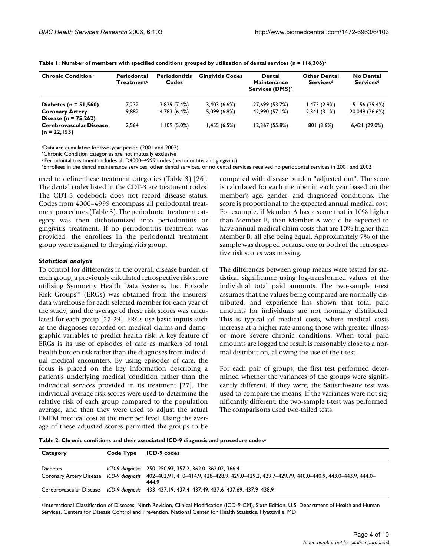| Chronic Condition <sup>b</sup>                     | Periodontal<br>$\sf Treatment^c$ | <b>Periodontitis</b><br>Codes | <b>Gingivitis Codes</b> | Dental<br><b>Maintenance</b><br>Services (DMS) <sup>d</sup> | <b>Other Dental</b><br><b>Servicesd</b> | <b>No Dental</b><br><b>Servicesd</b> |
|----------------------------------------------------|----------------------------------|-------------------------------|-------------------------|-------------------------------------------------------------|-----------------------------------------|--------------------------------------|
| Diabetes ( $n = 51,560$ )                          | 7.232                            | 3,829(7.4%)                   | 3,403(6.6%)             | 27,699 (53.7%)                                              | 1,473(2.9%)                             | 15,156 (29.4%)                       |
| <b>Coronary Artery</b><br>Disease ( $n = 75,262$ ) | 9.882                            | 4,783 (6.4%)                  | 5,099 (6.8%)            | 42,990 (57.1%)                                              | 2,341(3.1%)                             | 20,049 (26.6%)                       |
| Cerebrovascular Disease<br>$(n = 22, 153)$         | 2.564                            | $1,109(5.0\%)$                | 1,455(6.5%)             | 12,367 (55.8%)                                              | 801 (3.6%)                              | 6,421(29.0%)                         |

**Table 1: Number of members with specified conditions grouped by utilization of dental services (n = 116,306)a**

aData are cumulative for two-year period (2001 and 2002)

bChronic Condition categories are not mutually exclusive

c Periodontal treatment includes all D4000–4999 codes (periodontitis and gingivitis)

dEnrollees in the dental maintenance services, other dental services, or no dental services received no periodontal services in 2001 and 2002

used to define these treatment categories (Table 3) [26]. The dental codes listed in the CDT-3 are treatment codes. The CDT-3 codebook does not record disease status. Codes from 4000–4999 encompass all periodontal treatment procedures (Table 3). The periodontal treatment category was then dichotomized into periodontitis or gingivitis treatment. If no periodontitis treatment was provided, the enrollees in the periodontal treatment group were assigned to the gingivitis group.

#### *Statistical analysis*

To control for differences in the overall disease burden of each group, a previously calculated retrospective risk score utilizing Symmetry Health Data Systems, Inc. Episode Risk Groups™ (ERGs) was obtained from the insurers' data warehouse for each selected member for each year of the study, and the average of these risk scores was calculated for each group [27-29]. ERGs use basic inputs such as the diagnoses recorded on medical claims and demographic variables to predict health risk. A key feature of ERGs is its use of episodes of care as markers of total health burden risk rather than the diagnoses from individual medical encounters. By using episodes of care, the focus is placed on the key information describing a patient's underlying medical condition rather than the individual services provided in its treatment [27]. The individual average risk scores were used to determine the relative risk of each group compared to the population average, and then they were used to adjust the actual PMPM medical cost at the member level. Using the average of these adjusted scores permitted the groups to be compared with disease burden "adjusted out". The score is calculated for each member in each year based on the member's age, gender, and diagnosed conditions. The score is proportional to the expected annual medical cost. For example, if Member A has a score that is 10% higher than Member B, then Member A would be expected to have annual medical claim costs that are 10% higher than Member B, all else being equal. Approximately 7% of the sample was dropped because one or both of the retrospective risk scores was missing.

The differences between group means were tested for statistical significance using log-transformed values of the individual total paid amounts. The two-sample t-test assumes that the values being compared are normally distributed, and experience has shown that total paid amounts for individuals are not normally distributed. This is typical of medical costs, where medical costs increase at a higher rate among those with greater illness or more severe chronic conditions. When total paid amounts are logged the result is reasonably close to a normal distribution, allowing the use of the t-test.

For each pair of groups, the first test performed determined whether the variances of the groups were significantly different. If they were, the Satterthwaite test was used to compare the means. If the variances were not significantly different, the two-sample t-test was performed. The comparisons used two-tailed tests.

**Table 2: Chronic conditions and their associated ICD-9 diagnosis and procedure codesa**

| Category        | Code Type | ICD-9 codes                                                                                                                                                                                      |
|-----------------|-----------|--------------------------------------------------------------------------------------------------------------------------------------------------------------------------------------------------|
| <b>Diabetes</b> |           | ICD-9 diagnosis 250-250.93, 357.2, 362.0-362.02, 366.41<br>Coronary Artery Disease ICD-9 diagnosis 402-402.91, 410-414.9, 428-428.9, 429.0-429.2, 429.7-429.79, 440.0-440.9, 443.0-443.9, 444.0- |
|                 |           | 444.9<br>Cerebrovascular Disease ICD-9 diagnosis 433-437.19, 437.4-437.49, 437.6-437.69, 437.9-438.9                                                                                             |

a International Classification of Diseases, Ninth Revision, Clinical Modification (ICD-9-CM), Sixth Edition, U.S. Department of Health and Human Services. Centers for Disease Control and Prevention, National Center for Health Statistics. Hyattsville, MD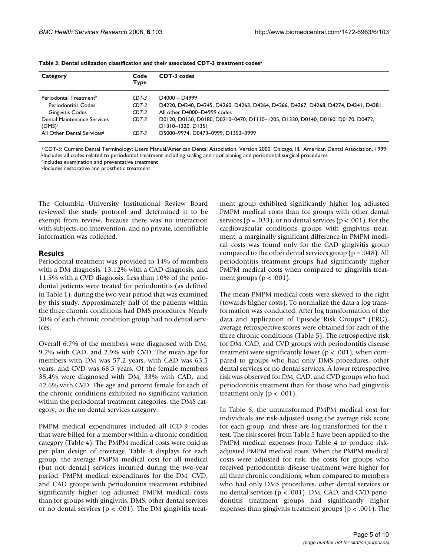| Category                                            | Code<br>Type | CDT-3 codes                                                                                          |
|-----------------------------------------------------|--------------|------------------------------------------------------------------------------------------------------|
| Periodontal Treatment <sup>b</sup>                  | CDT-3        | $D4000 - D4999$                                                                                      |
| <b>Periodontitis Codes</b>                          | CDT-3        | D4220, D4240, D4245, D4260, D4263, D4264, D4266, D4267, D4268, D4274, D4341, D4381                   |
| <b>Gingivitis Codes</b>                             | $CDT-3$      | All other D4000-D4999 codes                                                                          |
| Dental Maintenance Services<br>$(DMS)$ <sup>c</sup> | $CDT-3$      | D0120, D0150, D0180, D0210-0470, D1110-1205, D1330, D0140, D0160, D0170, D0472,<br>D1310-1320, D1351 |
| All Other Dental Services <sup>d</sup>              | CDT-3        | D5000-9974, D0473-0999, D1352-3999                                                                   |

#### **Table 3: Dental utilization classification and their associated CDT-3 treatment codesa**

a CDT-3: Current Dental Terminology: Users Manual/American Dental Association. Version 2000, Chicago, Ill.: American Dental Association, 1999 bIncludes all codes related to periodontal treatment including scaling and root planing and periodontal surgical procedures cIncludes examination and preventative treatment

dIncludes restorative and prosthetic treatment

The Columbia University Institutional Review Board reviewed the study protocol and determined it to be exempt from review, because there was no interaction with subjects, no intervention, and no private, identifiable information was collected.

#### **Results**

Periodontal treatment was provided to 14% of members with a DM diagnosis, 13.12% with a CAD diagnosis, and 11.5% with a CVD diagnosis. Less than 10% of the periodontal patients were treated for periodontitis (as defined in Table 1), during the two-year period that was examined by this study. Approximately half of the patients within the three chronic conditions had DMS procedures. Nearly 30% of each chronic condition group had no dental services.

Overall 6.7% of the members were diagnosed with DM, 9.2% with CAD, and 2.9% with CVD. The mean age for members with DM was 57.2 years, with CAD was 63.5 years, and CVD was 68.5 years. Of the female members 35.4% were diagnosed with DM, 33% with CAD, and 42.6% with CVD. The age and percent female for each of the chronic conditions exhibited no significant variation within the periodontal treatment categories, the DMS category, or the no dental services category.

PMPM medical expenditures included all ICD-9 codes that were billed for a member within a chronic condition category (Table 4). The PMPM medical costs were paid as per plan design of coverage. Table 4 displays for each group, the average PMPM medical cost for all medical (but not dental) services incurred during the two-year period. PMPM medical expenditures for the DM, CVD, and CAD groups with periodontitis treatment exhibited significantly higher log adjusted PMPM medical costs than for groups with gingivitis, DMS, other dental services or no dental services ( $p < .001$ ). The DM gingivitis treatment group exhibited significantly higher log adjusted PMPM medical costs than for groups with other dental services ( $p = .033$ ), or no dental services ( $p < .001$ ). For the cardiovascular conditions groups with gingivitis treatment, a marginally significant difference in PMPM medical costs was found only for the CAD gingivitis group compared to the other dental services group ( $p = .048$ ). All periodontitis treatment groups had significantly higher PMPM medical costs when compared to gingivitis treatment groups ( $p < .001$ ).

The mean PMPM medical costs were skewed to the right (towards higher costs). To normalize the data a log transformation was conducted. After log transformation of the data and application of Episode Risk Groups™ (ERG), average retrospective scores were obtained for each of the three chronic conditions (Table 5). The retrospective risk for DM, CAD, and CVD groups with periodontitis disease treatment were significantly lower ( $p < .001$ ), when compared to groups who had only DMS procedures, other dental services or no dental services. A lower retrospective risk was observed for DM, CAD, and CVD groups who had periodontitis treatment than for those who had gingivitis treatment only ( $p < .001$ ).

In Table 6, the untransformed PMPM medical cost for individuals are risk-adjusted using the average risk score for each group, and these are log-transformed for the ttest. The risk scores from Table 5 have been applied to the PMPM medical expenses from Table 4 to produce riskadjusted PMPM medical costs. When the PMPM medical costs were adjusted for risk, the costs for groups who received periodontitis disease treatment were higher for all three chronic conditions, when compared to members who had only DMS procedures, other dental services or no dental services (p < .001). DM, CAD, and CVD periodontitis treatment groups had significantly higher expenses than gingivitis treatment groups ( $p < .001$ ). The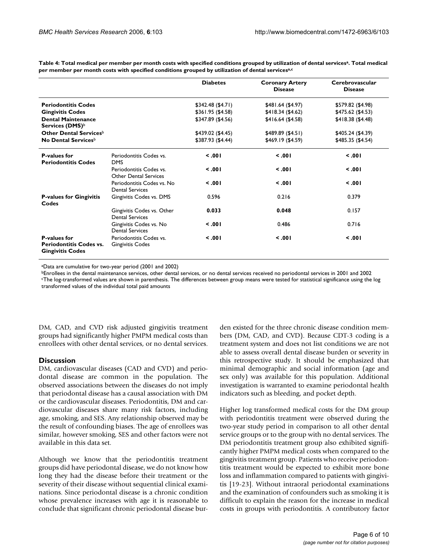|                                                                                  |                                                         | <b>Diabetes</b>   | <b>Coronary Artery</b><br><b>Disease</b> | Cerebrovascular<br><b>Disease</b> |
|----------------------------------------------------------------------------------|---------------------------------------------------------|-------------------|------------------------------------------|-----------------------------------|
| <b>Periodontitis Codes</b>                                                       |                                                         | \$342.48 (\$4.71) | \$481.64 (\$4.97)                        | \$579.82 (\$4.98)                 |
| <b>Gingivitis Codes</b>                                                          |                                                         | \$361.95(\$4.58)  | \$418.34 (\$4.62)                        | \$475.62 (\$4.53)                 |
| <b>Dental Maintenance</b><br>Services (DMS) <sup>b</sup>                         |                                                         | \$347.89 (\$4.56) | \$416.64 (\$4.58)                        | \$418.38 (\$4.48)                 |
| Other Dental Services <sup>b</sup>                                               |                                                         | \$439.02 (\$4.45) | $$489.89$ (\$4.51)                       | \$405.24 (\$4.39)                 |
| No Dental Services <sup>b</sup>                                                  |                                                         | \$387.93 (\$4.44) | \$469.19(\$4.59)                         | \$485.35 (\$4.54)                 |
| <b>P-values for</b><br><b>Periodontitis Codes</b>                                | Periodontitis Codes vs.<br><b>DMS</b>                   | 5.001             | 5.001                                    | 5.001                             |
|                                                                                  | Periodontitis Codes vs.<br><b>Other Dental Services</b> | 5.001             | 5.001                                    | 5.001                             |
|                                                                                  | Periodontitis Codes vs. No<br><b>Dental Services</b>    | 5.001             | 5.001                                    | 5.001                             |
| <b>P-values for Gingivitis</b><br>Codes                                          | Gingivitis Codes vs. DMS                                | 0.596             | 0.216                                    | 0.379                             |
|                                                                                  | Gingivitis Codes vs. Other<br><b>Dental Services</b>    | 0.033             | 0.048                                    | 0.157                             |
|                                                                                  | Gingivitis Codes vs. No<br><b>Dental Services</b>       | 5.001             | 0.486                                    | 0.716                             |
| <b>P-values for</b><br><b>Periodontitis Codes vs.</b><br><b>Gingivitis Codes</b> | Periodontitis Codes vs.<br><b>Gingivitis Codes</b>      | 5.001             | 5.001                                    | 5.001                             |

Table 4: Total medical per member per month costs with specified conditions grouped by utilization of dental services<sup>a</sup>. Total medical **per member per month costs with specified conditions grouped by utilization of dental servicesa,c**

aData are cumulative for two-year period (2001 and 2002)

bEnrollees in the dental maintenance services, other dental services, or no dental services received no periodontal services in 2001 and 2002 cThe log-transformed values are shown in parenthesis. The differences between group means were tested for statistical significance using the log transformed values of the individual total paid amounts

DM, CAD, and CVD risk adjusted gingivitis treatment groups had significantly higher PMPM medical costs than enrollees with other dental services, or no dental services.

#### **Discussion**

DM, cardiovascular diseases (CAD and CVD) and periodontal disease are common in the population. The observed associations between the diseases do not imply that periodontal disease has a causal association with DM or the cardiovascular diseases. Periodontitis, DM and cardiovascular diseases share many risk factors, including age, smoking, and SES. Any relationship observed may be the result of confounding biases. The age of enrollees was similar, however smoking, SES and other factors were not available in this data set.

Although we know that the periodontitis treatment groups did have periodontal disease, we do not know how long they had the disease before their treatment or the severity of their disease without sequential clinical examinations. Since periodontal disease is a chronic condition whose prevalence increases with age it is reasonable to conclude that significant chronic periodontal disease burden existed for the three chronic disease condition members (DM, CAD, and CVD). Because CDT-3 coding is a treatment system and does not list conditions we are not able to assess overall dental disease burden or severity in this retrospective study. It should be emphasized that minimal demographic and social information (age and sex only) was available for this population. Additional investigation is warranted to examine periodontal health indicators such as bleeding, and pocket depth.

Higher log transformed medical costs for the DM group with periodontitis treatment were observed during the two-year study period in comparison to all other dental service groups or to the group with no dental services. The DM periodontitis treatment group also exhibited significantly higher PMPM medical costs when compared to the gingivitis treatment group. Patients who receive periodontitis treatment would be expected to exhibit more bone loss and inflammation compared to patients with gingivitis [19-23]. Without intraoral periodontal examinations and the examination of confounders such as smoking it is difficult to explain the reason for the increase in medical costs in groups with periodontitis. A contributory factor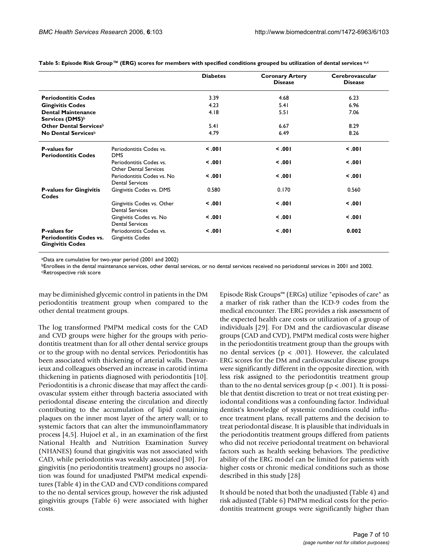|                                                                                  |                                                         | <b>Diabetes</b> | <b>Coronary Artery</b><br><b>Disease</b> | Cerebrovascular<br><b>Disease</b> |
|----------------------------------------------------------------------------------|---------------------------------------------------------|-----------------|------------------------------------------|-----------------------------------|
| <b>Periodontitis Codes</b>                                                       |                                                         | 3.39            | 4.68                                     | 6.23                              |
| <b>Gingivitis Codes</b>                                                          |                                                         | 4.23            | 5.41                                     | 6.96                              |
| <b>Dental Maintenance</b><br>Services (DMS) <sup>b</sup>                         |                                                         | 4.18            | 5.51                                     | 7.06                              |
| Other Dental Servicesb                                                           |                                                         | 5.41            | 6.67                                     | 8.29                              |
| No Dental Services <sup>b</sup>                                                  |                                                         | 4.79            | 6.49                                     | 8.26                              |
| <b>P-values for</b><br><b>Periodontitis Codes</b>                                | Periodontitis Codes vs.<br><b>DMS</b>                   | 5.001           | 5.001                                    | 5.001                             |
|                                                                                  | Periodontitis Codes vs.<br><b>Other Dental Services</b> | 5.001           | 5.001                                    | 5.001                             |
|                                                                                  | Periodontitis Codes vs. No<br><b>Dental Services</b>    | 5.001           | 5.001                                    | 5.001                             |
| <b>P-values for Gingivitis</b><br>Codes                                          | Gingivitis Codes vs. DMS                                | 0.580           | 0.170                                    | 0.560                             |
|                                                                                  | Gingivitis Codes vs. Other<br><b>Dental Services</b>    | 5.001           | 5.001                                    | 5.001                             |
|                                                                                  | Gingivitis Codes vs. No<br><b>Dental Services</b>       | 5.001           | 5.001                                    | 5.001                             |
| <b>P-values for</b><br><b>Periodontitis Codes vs.</b><br><b>Gingivitis Codes</b> | Periodontitis Codes vs.<br><b>Gingivitis Codes</b>      | 5.001           | 5.001                                    | 0.002                             |

**Table 5: Episode Risk Group™ (ERG) scores for members with specified conditions grouped bu utilization of dental services a,c**

aData are cumulative for two-year period (2001 and 2002)

bEnrollees in the dental maintenance services, other dental services, or no dental services received no periodontal services in 2001 and 2002. cRetrospective risk score

may be diminished glycemic control in patients in the DM periodontitis treatment group when compared to the other dental treatment groups.

The log transformed PMPM medical costs for the CAD and CVD groups were higher for the groups with periodontitis treatment than for all other dental service groups or to the group with no dental services. Periodontitis has been associated with thickening of arterial walls. Desvarieux and colleagues observed an increase in carotid intima thickening in patients diagnosed with periodontitis [10]. Periodontitis is a chronic disease that may affect the cardiovascular system either through bacteria associated with periodontal disease entering the circulation and directly contributing to the accumulation of lipid containing plaques on the inner most layer of the artery wall; or to systemic factors that can alter the immunoinflammatory process [4,5]. Hujoel et al., in an examination of the first National Health and Nutrition Examination Survey (NHANES) found that gingivitis was not associated with CAD, while periodontitis was weakly associated [30]. For gingivitis (no periodontitis treatment) groups no association was found for unadjusted PMPM medical expenditures (Table 4) in the CAD and CVD conditions compared to the no dental services group, however the risk adjusted gingivitis groups (Table 6) were associated with higher costs.

Episode Risk Groups™ (ERGs) utilize "episodes of care" as a marker of risk rather than the ICD-9 codes from the medical encounter. The ERG provides a risk assessment of the expected health care costs or utilization of a group of individuals [29]. For DM and the cardiovascular disease groups (CAD and CVD), PMPM medical costs were higher in the periodontitis treatment group than the groups with no dental services ( $p < .001$ ). However, the calculated ERG scores for the DM and cardiovascular disease groups were significantly different in the opposite direction, with less risk assigned to the periodontitis treatment group than to the no dental services group ( $p < .001$ ). It is possible that dentist discretion to treat or not treat existing periodontal conditions was a confounding factor. Individual dentist's knowledge of systemic conditions could influence treatment plans, recall patterns and the decision to treat periodontal disease. It is plausible that individuals in the periodontitis treatment groups differed from patients who did not receive periodontal treatment on behavioral factors such as health seeking behaviors. The predictive ability of the ERG model can be limited for patients with higher costs or chronic medical conditions such as those described in this study [28].

It should be noted that both the unadjusted (Table 4) and risk adjusted (Table 6) PMPM medical costs for the periodontitis treatment groups were significantly higher than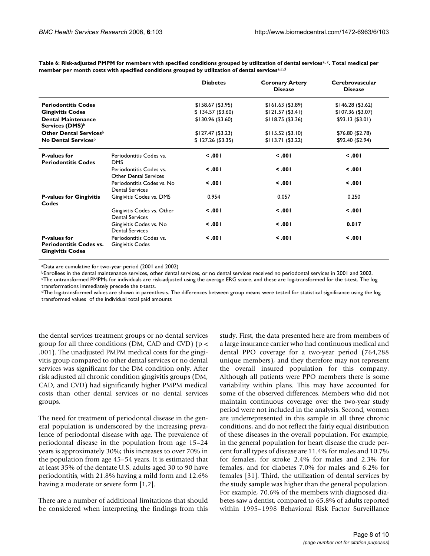|                                                                                  |                                                         | <b>Diabetes</b>   | <b>Coronary Artery</b><br><b>Disease</b> | Cerebrovascular<br><b>Disease</b> |
|----------------------------------------------------------------------------------|---------------------------------------------------------|-------------------|------------------------------------------|-----------------------------------|
| <b>Periodontitis Codes</b>                                                       |                                                         | \$158.67 (\$3.95) | $$161.63$ (\$3.89)                       | \$146.28 (\$3.62)                 |
| <b>Gingivitis Codes</b>                                                          |                                                         | \$134.57 (\$3.60) | \$121.57 (\$3.41)                        | \$107.36 (\$3.07)                 |
| <b>Dental Maintenance</b><br>Services (DMS) <sup>b</sup>                         |                                                         | \$130.96(\$3.60)  | $$118.75($ \$3.36)                       | \$93.13(\$3.01)                   |
| Other Dental Servicesb                                                           |                                                         | \$127.47 (\$3.23) | \$115.52 (\$3.10)                        | \$76.80 (\$2.78)                  |
| No Dental Services <sup>b</sup>                                                  |                                                         | \$127.26 (\$3.35) | \$113.71 (\$3.22)                        | \$92.40 (\$2.94)                  |
| <b>P-values for</b><br><b>Periodontitis Codes</b>                                | Periodontitis Codes vs.<br><b>DMS</b>                   | 5.001             | < 0.01                                   | 5.001                             |
|                                                                                  | Periodontitis Codes vs.<br><b>Other Dental Services</b> | 5.001             | 5.001                                    | 5.001                             |
|                                                                                  | Periodontitis Codes vs. No<br><b>Dental Services</b>    | 5.001             | 5.001                                    | 5.001                             |
| <b>P-values for Gingivitis</b><br>Codes                                          | Gingivitis Codes vs. DMS                                | 0.954             | 0.057                                    | 0.250                             |
|                                                                                  | Gingivitis Codes vs. Other<br><b>Dental Services</b>    | 5.001             | 5.001                                    | 5.001                             |
|                                                                                  | Gingivitis Codes vs. No<br><b>Dental Services</b>       | 5.001             | 5.001                                    | 0.017                             |
| <b>P-values for</b><br><b>Periodontitis Codes vs.</b><br><b>Gingivitis Codes</b> | Periodontitis Codes vs.<br><b>Gingivitis Codes</b>      | 5.001             | 5.001                                    | 5.001                             |

Table 6: Risk-adjusted PMPM for members with specified conditions grouped by utilization of dental services<sup>a, c</sup>. Total medical per **member per month costs with specified conditions grouped by utilization of dental servicesa,c,d**

aData are cumulative for two-year period (2001 and 2002)

bEnrollees in the dental maintenance services, other dental services, or no dental services received no periodontal services in 2001 and 2002. cThe untransformed PMPMs for individuals are risk-adjusted using the average ERG score, and these are log-transformed for the t-test. The log transformations immediately precede the t-tests.

<sup>d</sup>The log-transformed values are shown in parenthesis. The differences between group means were tested for statistical significance using the log transformed values of the individual total paid amounts

the dental services treatment groups or no dental services group for all three conditions (DM, CAD and CVD) ( $p <$ .001). The unadjusted PMPM medical costs for the gingivitis group compared to other dental services or no dental services was significant for the DM condition only. After risk adjusted all chronic condition gingivitis groups (DM, CAD, and CVD) had significantly higher PMPM medical costs than other dental services or no dental services groups.

The need for treatment of periodontal disease in the general population is underscored by the increasing prevalence of periodontal disease with age. The prevalence of periodontal disease in the population from age 15–24 years is approximately 30%; this increases to over 70% in the population from age 45–54 years. It is estimated that at least 35% of the dentate U.S. adults aged 30 to 90 have periodontitis, with 21.8% having a mild form and 12.6% having a moderate or severe form [1,2].

There are a number of additional limitations that should be considered when interpreting the findings from this study. First, the data presented here are from members of a large insurance carrier who had continuous medical and dental PPO coverage for a two-year period (764,288 unique members), and they therefore may not represent the overall insured population for this company. Although all patients were PPO members there is some variability within plans. This may have accounted for some of the observed differences. Members who did not maintain continuous coverage over the two-year study period were not included in the analysis. Second, women are underrepresented in this sample in all three chronic conditions, and do not reflect the fairly equal distribution of these diseases in the overall population. For example, in the general population for heart disease the crude percent for all types of disease are 11.4% for males and 10.7% for females, for stroke 2.4% for males and 2.3% for females, and for diabetes 7.0% for males and 6.2% for females [31]. Third, the utilization of dental services by the study sample was higher than the general population. For example, 70.6% of the members with diagnosed diabetes saw a dentist, compared to 65.8% of adults reported within 1995–1998 Behavioral Risk Factor Surveillance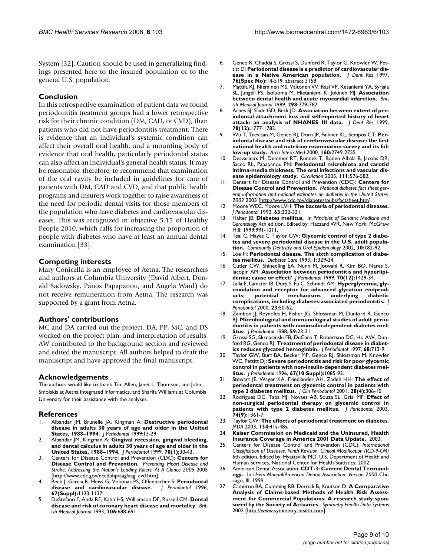System [32]. Caution should be used in generalizing findings presented here to the insured population or to the general U.S. population.

#### **Conclusion**

In this retrospective examination of patient data we found periodontitis treatment groups had a lower retrospective risk for their chronic condition (DM, CAD, or CVD), than patients who did not have periodontitis treatment. There is evidence that an individual's systemic condition can affect their overall oral health, and a mounting body of evidence that oral health, particularly periodontal status can also affect an individual's general health status. It may be reasonable, therefore, to recommend that examination of the oral cavity be included in guidelines for care of patients with DM, CAD and CVD, and that public health programs and insurers work together to raise awareness of the need for periodic dental visits for those members of the population who have diabetes and cardiovascular diseases. This was recognized in objective 5.15 of Healthy People 2010, which calls for increasing the proportion of people with diabetes who have at least an annual dental examination [33].

#### **Competing interests**

Mary Conicella is an employee of Aetna. The researchers and authors at Columbia University (David Albert, Donald Sadowsky, Panos Papapanou, and Angela Ward) do not receive remuneration from Aetna. The research was supported by a grant from Aetna.

### **Authors' contributions**

MC and DA carried out the project. DA, PP, MC, and DS worked on the project plan, and interpretation of results. AW contributed to the background section and reviewed and edited the manuscript. All authors helped to draft the manuscript and have approved the final manuscript.

### **Acknowledgements**

The authors would like to thank Tim Allen, Janet L. Thomson, and John Smolskis at Aetna Integrated Informatics, and Sharifa Williams at Columbia University for their assistance with the analyses.

#### **References**

- 1. Albandar JM, Brunelle JA, Kingman A: **[Destructive periodontal](http://www.ncbi.nlm.nih.gov/entrez/query.fcgi?cmd=Retrieve&db=PubMed&dopt=Abstract&list_uids=10052767) [disease in adults 30 years of age and older in the United](http://www.ncbi.nlm.nih.gov/entrez/query.fcgi?cmd=Retrieve&db=PubMed&dopt=Abstract&list_uids=10052767) [States, 1988–1994.](http://www.ncbi.nlm.nih.gov/entrez/query.fcgi?cmd=Retrieve&db=PubMed&dopt=Abstract&list_uids=10052767)** *J Periodontol* 1999:13-29.
- 2. Albandar JM, Kingman A: **[Gingival recession, gingival bleeding,](http://www.ncbi.nlm.nih.gov/entrez/query.fcgi?cmd=Retrieve&db=PubMed&dopt=Abstract&list_uids=10052768) [and dental calculus in adults 30 years of age and older in the](http://www.ncbi.nlm.nih.gov/entrez/query.fcgi?cmd=Retrieve&db=PubMed&dopt=Abstract&list_uids=10052768) [United States, 1988–1994.](http://www.ncbi.nlm.nih.gov/entrez/query.fcgi?cmd=Retrieve&db=PubMed&dopt=Abstract&list_uids=10052768)** *J Periodontol* 1999, **70(1):**30-43.
- 3. Centers for Disease Control and Prevention (CDC): **Centers for Disease Control and Prevention.** *Preventing Heart Disease and Stroke, Addressing the Nation's Leading Killers, At A Glance 2005* 2005 [[http://www.cdc.gov/nccdphp/aag/aag\\_cvd.htm](http://www.cdc.gov/nccdphp/aag/aag_cvd.htm)].
- Beck J, Garcia R, Heiss G, Vokonas PS, Offenbacher S: **Periodontal**<br>disease and cardiovascular disease. J Periodontol 1996, disease and cardiovascular disease. **67(Suppl):**1123-1137.
- 5. DeStefano F, Anda RF, Kahn HS, Williamson DF, Russell CM: **[Dental](http://www.ncbi.nlm.nih.gov/entrez/query.fcgi?cmd=Retrieve&db=PubMed&dopt=Abstract&list_uids=8471920) [disease and risk of coronary heart disease and mortality.](http://www.ncbi.nlm.nih.gov/entrez/query.fcgi?cmd=Retrieve&db=PubMed&dopt=Abstract&list_uids=8471920)** *British Medical Journal* 1993, **306:**688-691.
- 6. Genco R, Chadda S, Grossi S, Dunford R, Taylor G, Knowler W, Pettitt D: **[Periodontal disease is a predictor of cardiovascular dis](http://www.ncbi.nlm.nih.gov/entrez/query.fcgi?cmd=Retrieve&db=PubMed&dopt=Abstract&list_uids=9031655)[ease in a Native American population.](http://www.ncbi.nlm.nih.gov/entrez/query.fcgi?cmd=Retrieve&db=PubMed&dopt=Abstract&list_uids=9031655)** *J Dent Res* 1997, **76(Spec No):**14-519. abstract 3158
- 7. Mattila KJ, Nieminen MS, Valtonen VV, Rasi VP, Kesaniemi YA, Syrjala SL, Jungell PS, Isoluoma M, Hietaniemi K, Jokinen MJ: **[Association](http://www.ncbi.nlm.nih.gov/entrez/query.fcgi?cmd=Retrieve&db=PubMed&dopt=Abstract&list_uids=2496855) [between dental health and acute myocardial infarction.](http://www.ncbi.nlm.nih.gov/entrez/query.fcgi?cmd=Retrieve&db=PubMed&dopt=Abstract&list_uids=2496855)** *British Medical Journal* 1989, **298:**779-782.
- 8. Arbes SJ, Slade GD, Beck JD: **[Association between extent of per](http://www.ncbi.nlm.nih.gov/entrez/query.fcgi?cmd=Retrieve&db=PubMed&dopt=Abstract&list_uids=10598906)[iodontal attachment loss and self-reported history of heart](http://www.ncbi.nlm.nih.gov/entrez/query.fcgi?cmd=Retrieve&db=PubMed&dopt=Abstract&list_uids=10598906) [attack: an analysis of NHANES III data.](http://www.ncbi.nlm.nih.gov/entrez/query.fcgi?cmd=Retrieve&db=PubMed&dopt=Abstract&list_uids=10598906)** *J Dent Res* 1999, **78(12):**1777-1782.
- 9. Wu T, Trevisan M, Genco RJ, Dorn JP, Falkner KL, Sempos CT: **[Per](http://www.ncbi.nlm.nih.gov/entrez/query.fcgi?cmd=Retrieve&db=PubMed&dopt=Abstract&list_uids=11025784)[iodontal disease and risk of cerebrovascular disease: the first](http://www.ncbi.nlm.nih.gov/entrez/query.fcgi?cmd=Retrieve&db=PubMed&dopt=Abstract&list_uids=11025784) national health and nutrition examination survey and its fol[low-up study.](http://www.ncbi.nlm.nih.gov/entrez/query.fcgi?cmd=Retrieve&db=PubMed&dopt=Abstract&list_uids=11025784)** *Arch Intern Med* 2000, **160:**2749-2755.
- 10. Desvarieux M, Demmer RT, Rundek T, Boden-Albala B, Jacobs DR, Sacco RL, Papapanou PN: **[Periodontal microbiota and carotid](http://www.ncbi.nlm.nih.gov/entrez/query.fcgi?cmd=Retrieve&db=PubMed&dopt=Abstract&list_uids=15699278) [intima-media thickness. The oral infections and vascular dis](http://www.ncbi.nlm.nih.gov/entrez/query.fcgi?cmd=Retrieve&db=PubMed&dopt=Abstract&list_uids=15699278)[ease epidemiology study.](http://www.ncbi.nlm.nih.gov/entrez/query.fcgi?cmd=Retrieve&db=PubMed&dopt=Abstract&list_uids=15699278)** *Circulation* 2005, **111:**576-582.
- 11. Centers for Disease Control and Prevention (CDC): **Centers for Disease Control and Prevention.** *National diabetes fact sheet general information and national estimates on diabetes in the United States, 2002* 2003 [[http://www.cdc.gov/diabetes/pubs/factsheet.htm\]](http://www.cdc.gov/diabetes/pubs/factsheet.htm).
- 12. Moore WEC, Moore LVH: **[The bacteria of periodontal diseases.](http://www.ncbi.nlm.nih.gov/entrez/query.fcgi?cmd=Retrieve&db=PubMed&dopt=Abstract&list_uids=1573546)** *J Periodontol* 1992, **63:**322-331.
- 13. Halter JB: **Diabetes mellitus.** In *Principles of Geriatric Medicine and Gerontology* 4th edition. Edited by: Hazzard WR. New York: McGraw Hill; 1999:991-1011.
- 14. Tsai C, Hayes C, Taylor GW: **Glycemic control of type 2 diabetes and severe periodontal disease in the U.S. adult population.** *Community Dentistry and Oral Epidemiology* 2002, **30:**182-92.
- 15. Loe H: **Periodontal disease. The sixth complication of diabetes mellitus.** *Diabetes Care* 1993, **1:**329-34.
- 16. Cutler CW, Shinedling EA, Nunn M, Jotwani R, Kim BO, Nares S, lacopin AM: **[Association between periodontitis and hyperlipi](http://www.ncbi.nlm.nih.gov/entrez/query.fcgi?cmd=Retrieve&db=PubMed&dopt=Abstract&list_uids=10632517)[demia; cause or effect?](http://www.ncbi.nlm.nih.gov/entrez/query.fcgi?cmd=Retrieve&db=PubMed&dopt=Abstract&list_uids=10632517)** *J Periodontol* 1999, **70(12):**1429-34.
- 17. Lalla E, Lamster IB, Dury S, Fu C, Schmidt AM: **Hyperglycemia, glycoxidation and receptor for advanced glycation endprod**ucts; potential mechanisms **complications, including diabetes-associated periodontitis.** *J Periodontol* 2000, **23:**50-62.
- 18. Zambon JJ, Reynolds H, Fisher JG, Shlossman M, Dunford R, Genco RJ: **[Microbiological and immunological studies of adult perio](http://www.ncbi.nlm.nih.gov/entrez/query.fcgi?cmd=Retrieve&db=PubMed&dopt=Abstract&list_uids=3276868)[dontitis in patients with noninsulin-dependent diabetes mel](http://www.ncbi.nlm.nih.gov/entrez/query.fcgi?cmd=Retrieve&db=PubMed&dopt=Abstract&list_uids=3276868)[litus.](http://www.ncbi.nlm.nih.gov/entrez/query.fcgi?cmd=Retrieve&db=PubMed&dopt=Abstract&list_uids=3276868)** *J Periodontol* 1988, **59:**23-31.
- 19. Grossi SG, Skrepcinski FB, DeCaro T, Robertson DC, Ho AW, Dunford RG, Genco RJ: **[Treatment of periodontal disease in diabet](http://www.ncbi.nlm.nih.gov/entrez/query.fcgi?cmd=Retrieve&db=PubMed&dopt=Abstract&list_uids=9287060)[ics reduces glycated hemoglobin.](http://www.ncbi.nlm.nih.gov/entrez/query.fcgi?cmd=Retrieve&db=PubMed&dopt=Abstract&list_uids=9287060)** *J Periodontol* 1997, **68:**713-9.
- 20. Taylor GW, Burt BA, Becker MP, Genco RJ, Shlossman M, Knowler WC, Pettitt DJ: **[Severe periodontitis and risk for poor glycemic](http://www.ncbi.nlm.nih.gov/entrez/query.fcgi?cmd=Retrieve&db=PubMed&dopt=Abstract&list_uids=8910827) [control in patients with non-insulin-dependent diabetes mel](http://www.ncbi.nlm.nih.gov/entrez/query.fcgi?cmd=Retrieve&db=PubMed&dopt=Abstract&list_uids=8910827)[litus.](http://www.ncbi.nlm.nih.gov/entrez/query.fcgi?cmd=Retrieve&db=PubMed&dopt=Abstract&list_uids=8910827)** *J Periodontol* 1996, **67(10 Suppl):**1085-93.
- 21. Stewart JE, Wager KA, Friedlander AH, Zadeh HH: **[The effect of](http://www.ncbi.nlm.nih.gov/entrez/query.fcgi?cmd=Retrieve&db=PubMed&dopt=Abstract&list_uids=11314885) [periodontal treatment on glycemic control in patients with](http://www.ncbi.nlm.nih.gov/entrez/query.fcgi?cmd=Retrieve&db=PubMed&dopt=Abstract&list_uids=11314885) [type 2 diabetes mellitus.](http://www.ncbi.nlm.nih.gov/entrez/query.fcgi?cmd=Retrieve&db=PubMed&dopt=Abstract&list_uids=11314885)** *J Clin Periodontol* 2001, **28(4):**306-10.
- 22. Rodrigues DC, Taba MJ, Novaes AB, Souza SL, Grisi MF: **[Effect of](http://www.ncbi.nlm.nih.gov/entrez/query.fcgi?cmd=Retrieve&db=PubMed&dopt=Abstract&list_uids=14584871) [non-surgical periodontal therapy on glycemic control in](http://www.ncbi.nlm.nih.gov/entrez/query.fcgi?cmd=Retrieve&db=PubMed&dopt=Abstract&list_uids=14584871) [patients with type 2 diabetes mellitus.](http://www.ncbi.nlm.nih.gov/entrez/query.fcgi?cmd=Retrieve&db=PubMed&dopt=Abstract&list_uids=14584871)** *J Periodontol* 2003, **74(9):**1361-7.
- 23. Taylor GW: **The effects of periodontal treatment on diabetes.** *JADA* 2003, **134:**41s-48s.
- Kaiser Commission on Medicaid and the Uninsured, Health **Insurance Coverage in America 2001 Data Update.** 2003.
- 25. Centers for Disease Control and Prevention (CDC): *International Classification of Diseases, Ninth Revision, Clinical Modification (ICD-9-CM)* 6th edition. Edited by: Hyattsville MD. U.S. Department of Health and Human Services, National Center for Health Statistics; 2002.
- 26. American Dental Association: **CDT-3: Current Dental Terminology.** In *Users Manual/American Dental Association. Version 2000* Chicago, Ill; 1999.
- 27. Cameron BA, Cumming RB, Derrick B, Knutson D: **A Comparative Analysis of Claims-based Methods of Health Risk Assessment for Commercial Populations. A research study sponsored by the Society of Actuaries.** *Symmetry Health Data Systems* 2002 [[http://www.symmetry-health.com\]](http://www.symmetry-health.com).